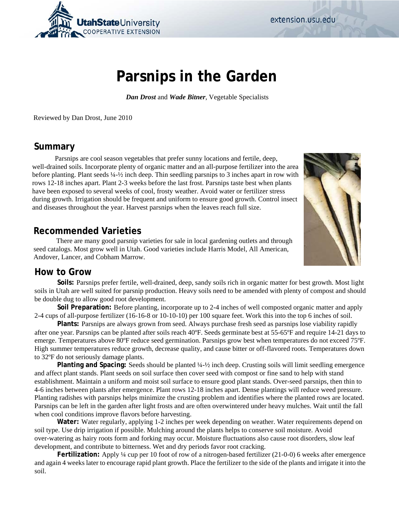

# **Parsnips in the Garden**

*Dan Drost* and *Wade Bitner*, Vegetable Specialists

Reviewed by Dan Drost, June 2010

#### **Summary**

Parsnips are cool season vegetables that prefer sunny locations and fertile, deep, well-drained soils. Incorporate plenty of organic matter and an all-purpose fertilizer into the area before planting. Plant seeds  $\frac{1}{4}$ - $\frac{1}{2}$  inch deep. Thin seedling parsnips to 3 inches apart in row with rows 12-18 inches apart. Plant 2-3 weeks before the last frost. Parsnips taste best when plants have been exposed to several weeks of cool, frosty weather. Avoid water or fertilizer stress during growth. Irrigation should be frequent and uniform to ensure good growth. Control insect and diseases throughout the year. Harvest parsnips when the leaves reach full size.

#### **Recommended Varieties**

There are many good parsnip varieties for sale in local gardening outlets and through seed catalogs. Most grow well in Utah. Good varieties include Harris Model, All American, Andover, Lancer, and Cobham Marrow.



#### **How to Grow**

**Soils:** Parsnips prefer fertile, well-drained, deep, sandy soils rich in organic matter for best growth. Most light soils in Utah are well suited for parsnip production. Heavy soils need to be amended with plenty of compost and should be double dug to allow good root development.

**Soil Preparation:** Before planting, incorporate up to 2-4 inches of well composted organic matter and apply 2-4 cups of all-purpose fertilizer (16-16-8 or 10-10-10) per 100 square feet. Work this into the top 6 inches of soil.

**Plants:** Parsnips are always grown from seed. Always purchase fresh seed as parsnips lose viability rapidly after one year. Parsnips can be planted after soils reach 40ºF. Seeds germinate best at 55-65ºF and require 14-21 days to emerge. Temperatures above 80ºF reduce seed germination. Parsnips grow best when temperatures do not exceed 75ºF. High summer temperatures reduce growth, decrease quality, and cause bitter or off-flavored roots. Temperatures down to 32ºF do not seriously damage plants.

**Planting and Spacing:** Seeds should be planted ¼-½ inch deep. Crusting soils will limit seedling emergence and affect plant stands. Plant seeds on soil surface then cover seed with compost or fine sand to help with stand establishment. Maintain a uniform and moist soil surface to ensure good plant stands. Over-seed parsnips, then thin to 4-6 inches between plants after emergence. Plant rows 12-18 inches apart. Dense plantings will reduce weed pressure. Planting radishes with parsnips helps minimize the crusting problem and identifies where the planted rows are located. Parsnips can be left in the garden after light frosts and are often overwintered under heavy mulches. Wait until the fall when cool conditions improve flavors before harvesting.

Water: Water regularly, applying 1-2 inches per week depending on weather. Water requirements depend on soil type. Use drip irrigation if possible. Mulching around the plants helps to conserve soil moisture. Avoid over-watering as hairy roots form and forking may occur. Moisture fluctuations also cause root disorders, slow leaf development, and contribute to bitterness. Wet and dry periods favor root cracking.

**Fertilization:** Apply ¼ cup per 10 foot of row of a nitrogen-based fertilizer (21-0-0) 6 weeks after emergence and again 4 weeks later to encourage rapid plant growth. Place the fertilizer to the side of the plants and irrigate it into the soil.